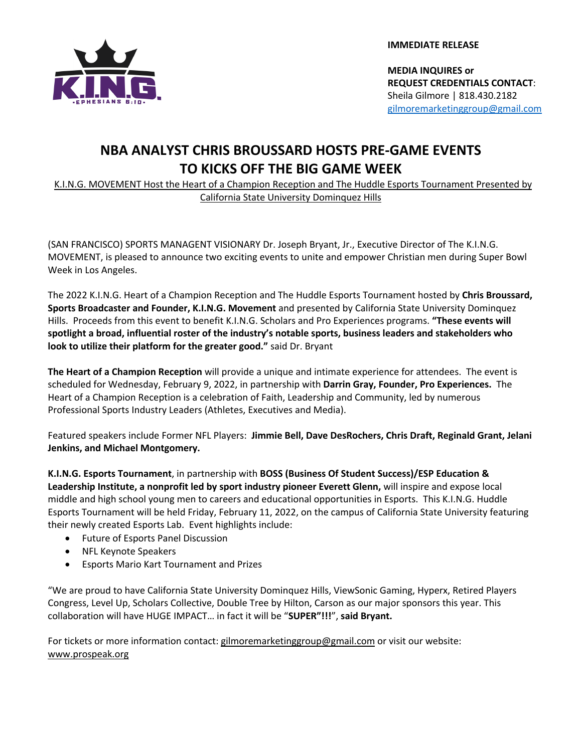

**IMMEDIATE RELEASE**

**MEDIA INQUIRES or REQUEST CREDENTIALS CONTACT**: Sheila Gilmore | 818.430.2182 gilmoremarketinggroup@gmail.com

# **NBA ANALYST CHRIS BROUSSARD HOSTS PRE-GAME EVENTS TO KICKS OFF THE BIG GAME WEEK**

K.I.N.G. MOVEMENT Host the Heart of a Champion Reception and The Huddle Esports Tournament Presented by California State University Dominquez Hills

(SAN FRANCISCO) SPORTS MANAGENT VISIONARY Dr. Joseph Bryant, Jr., Executive Director of The K.I.N.G. MOVEMENT, is pleased to announce two exciting events to unite and empower Christian men during Super Bowl Week in Los Angeles.

The 2022 K.I.N.G. Heart of a Champion Reception and The Huddle Esports Tournament hosted by **Chris Broussard, Sports Broadcaster and Founder, K.I.N.G. Movement** and presented by California State University Dominquez Hills. Proceeds from this event to benefit K.I.N.G. Scholars and Pro Experiences programs. **"These events will spotlight a broad, influential roster of the industry's notable sports, business leaders and stakeholders who look to utilize their platform for the greater good."** said Dr. Bryant

**The Heart of a Champion Reception** will provide a unique and intimate experience for attendees. The event is scheduled for Wednesday, February 9, 2022, in partnership with **Darrin Gray, Founder, Pro Experiences.** The Heart of a Champion Reception is a celebration of Faith, Leadership and Community, led by numerous Professional Sports Industry Leaders (Athletes, Executives and Media).

Featured speakers include Former NFL Players: **Jimmie Bell, Dave DesRochers, Chris Draft, Reginald Grant, Jelani Jenkins, and Michael Montgomery.** 

**K.I.N.G. Esports Tournament**, in partnership with **BOSS (Business Of Student Success)/ESP Education & Leadership Institute, a nonprofit led by sport industry pioneer Everett Glenn,** will inspire and expose local middle and high school young men to careers and educational opportunities in Esports. This K.I.N.G. Huddle Esports Tournament will be held Friday, February 11, 2022, on the campus of California State University featuring their newly created Esports Lab. Event highlights include:

- Future of Esports Panel Discussion
- NFL Keynote Speakers
- Esports Mario Kart Tournament and Prizes

"We are proud to have California State University Dominquez Hills, ViewSonic Gaming, Hyperx, Retired Players Congress, Level Up, Scholars Collective, Double Tree by Hilton, Carson as our major sponsors this year. This collaboration will have HUGE IMPACT… in fact it will be "**SUPER"!!!**", **said Bryant.**

For tickets or more information contact: gilmoremarketinggroup@gmail.com or visit our website: www.prospeak.org